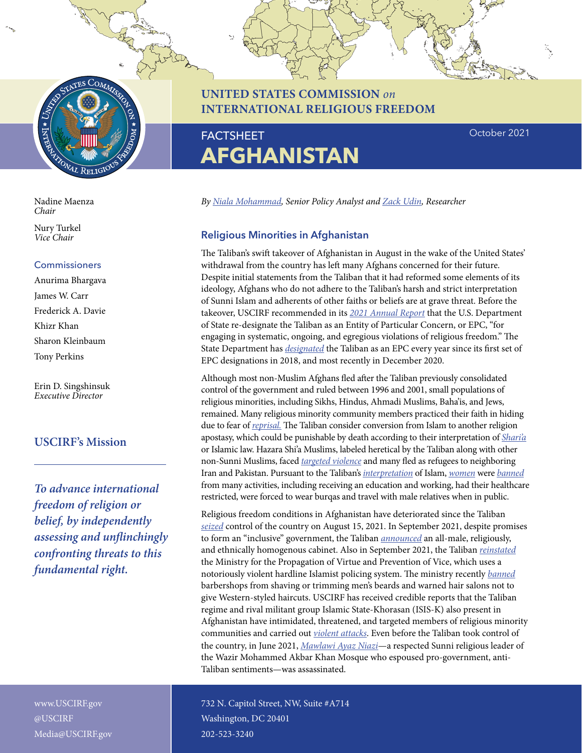

**UNITED STATES COMMISSION** *on* **INTERNATIONAL RELIGIOUS FREEDOM**

October 2021

#### Nadine Maenza *Chair*

Nury Turkel *Vice Chair*

### Commissioners

Anurima Bhargava James W. Carr Frederick A. Davie Khizr Khan Sharon Kleinbaum Tony Perkins

Erin D. Singshinsuk *Executive Director*

## **USCIRF's Mission**

*To advance international freedom of religion or belief, by independently assessing and unflinchingly confronting threats to this fundamental right.*

www.USCIRF.gov @USCIRF Media@USCIRF.gov

# FACTSHEET

*By [Niala Mohammad](https://www.uscirf.gov/niala-mohammad), Senior Policy Analyst and [Zack Udin,](https://www.uscirf.gov/about-uscirf/staff/zack-udin) Researcher*

## **Religious Minorities in Afghanistan**

**AFGHANISTAN**

The Taliban's swift takeover of Afghanistan in August in the wake of the United States' withdrawal from the country has left many Afghans concerned for their future. Despite initial statements from the Taliban that it had reformed some elements of its ideology, Afghans who do not adhere to the Taliban's harsh and strict interpretation of Sunni Islam and adherents of other faiths or beliefs are at grave threat. Before the takeover, USCIRF recommended in its *[2021 Annual Report](https://www.uscirf.gov/sites/default/files/2021-05/Afhanistan%20Chapter%20AR2021.pdf)* that the U.S. Department of State re-designate the Taliban as an Entity of Particular Concern, or EPC, "for engaging in systematic, ongoing, and egregious violations of religious freedom." The State Department has *[designated](https://www.govinfo.gov/content/pkg/FR-2021-01-13/pdf/2021-00556.pdf)* the Taliban as an EPC every year since its first set of EPC designations in 2018, and most recently in December 2020.

Although most non-Muslim Afghans fled after the Taliban previously consolidated control of the government and ruled between 1996 and 2001, small populations of religious minorities, including Sikhs, Hindus, Ahmadi Muslims, Baha'is, and Jews, remained. Many religious minority community members practiced their faith in hiding due to fear of *[reprisal.](https://digitalcommons.nyls.edu/cgi/viewcontent.cgi?article=1504&context=journal_of_human_rights)* The Taliban consider conversion from Islam to another religion apostasy, which could be punishable by death according to their interpretation of *[Shari'a](https://www.washingtonpost.com/world/2021/08/19/sharia-law-afghanistan-taliban/)* or Islamic law. Hazara Shi'a Muslims, labeled heretical by the Taliban along with other non-Sunni Muslims, faced *[targeted violence](https://www.hrw.org/report/2001/02/01/massacres-hazaras-afghanistan)* and many fled as refugees to neighboring Iran and Pakistan. Pursuant to the Taliban's *[interpretation](https://gandhara.rferl.org/a/taliban-sharia-law-afghanistan/31488108.html)* of Islam, *[women](https://www.theatlantic.com/international/archive/2021/08/the-talibans-return-is-awful-for-women-in-afghanistan/619765/)* were *[banned](https://www.bbc.com/news/world-asia-58191440)* from many activities, including receiving an education and working, had their healthcare restricted, were forced to wear burqas and travel with male relatives when in public.

Religious freedom conditions in Afghanistan have deteriorated since the Taliban *[seized](https://apnews.com/article/afghanistan-taliban-kabul-bagram-e1ed33fe0c665ee67ba132c51b8e32a5)* control of the country on August 15, 2021. In September 2021, despite promises to form an "inclusive" government, the Taliban *[announced](https://www.npr.org/2021/09/21/1039232797/taliban-women-all-male-government-cabinet-ministers)* an all-male, religiously, and ethnically homogenous cabinet. Also in September 2021, the Taliban *[reinstated](https://www.bbc.com/news/world-asia-58600231)* the Ministry for the Propagation of Virtue and Prevention of Vice, which uses a notoriously violent hardline Islamist policing system. The ministry recently *[banned](https://apnews.com/article/lifestyle-religion-afghanistan-kabul-taliban-74a30a151d267073d475462d7decd724)* barbershops from shaving or trimming men's beards and warned hair salons not to give Western-styled haircuts. USCIRF has received credible reports that the Taliban regime and rival militant group Islamic State-Khorasan (ISIS-K) also present in Afghanistan have intimidated, threatened, and targeted members of religious minority communities and carried out *[violent attacks](https://www.voanews.com/a/powerful-bomb-hits-afghan-shiite-muslim-mosque/6262654.html)*. Even before the Taliban took control of the country, in June 2021, *[Mawlawi Ayaz Niazi](https://www.reuters.com/article/us-afghanistan-mosque-attack/afghans-condemn-killing-of-prominent-cleric-in-mosque-blast-idUSKBN23A1I5)*—a respected Sunni religious leader of the Wazir Mohammed Akbar Khan Mosque who espoused pro-government, anti-Taliban sentiments—was assassinated.

732 N. Capitol Street, NW, Suite #A714 Washington, DC 20401 202-523-3240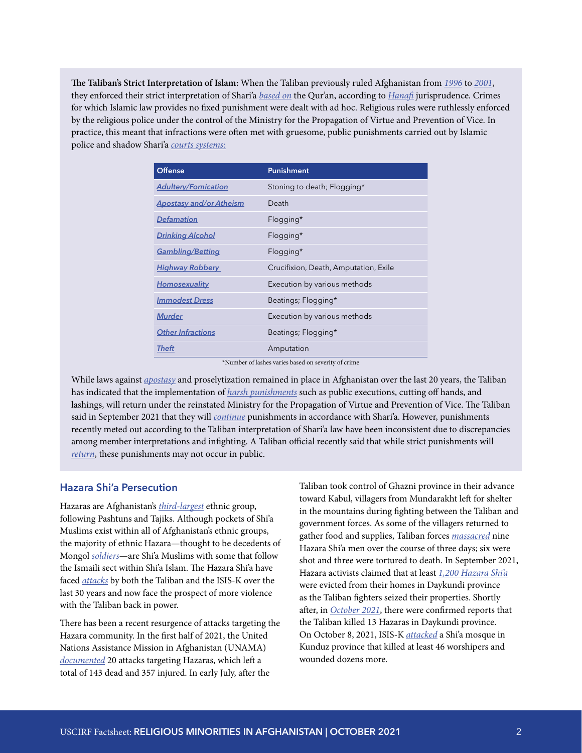**The Taliban's Strict Interpretation of Islam:** When the Taliban previously ruled Afghanistan from *[1996](https://1997-2001.state.gov/global/human_rights/1996_hrp_report/afghanis.html)* to *[2001](https://2009-2017.state.gov/documents/organization/9001.pdf)*, they enforced their strict interpretation of Shari'a *[based on](https://1997-2001.state.gov/global/human_rights/irf/irf_rpt/irf_afghanis.html)* the Qur'an, according to *[Hanafi](https://law.stanford.edu/publications/an-introduction-to-the-criminal-law-of-afghanistan-2nd-ed-2012/)* jurisprudence. Crimes for which Islamic law provides no fixed punishment were dealt with ad hoc. Religious rules were ruthlessly enforced by the religious police under the control of the Ministry for the Propagation of Virtue and Prevention of Vice. In practice, this meant that infractions were often met with gruesome, public punishments carried out by Islamic police and shadow Shari'a *[courts systems](https://gandhara.rferl.org/a/taliban-courts-public-executions/31449392.html):*

| <b>Offense</b>                 | <b>Punishment</b>                     |
|--------------------------------|---------------------------------------|
| <b>Adultery/Fornication</b>    | Stoning to death; Flogging*           |
| <b>Apostasy and/or Atheism</b> | Death                                 |
| <b>Defamation</b>              | Flogging*                             |
| <b>Drinking Alcohol</b>        | Flogging*                             |
| <b>Gambling/Betting</b>        | Flogging*                             |
| <b>Highway Robbery</b>         | Crucifixion, Death, Amputation, Exile |
| <b>Homosexuality</b>           | Execution by various methods          |
| <b>Immodest Dress</b>          | Beatings; Flogging*                   |
| <b>Murder</b>                  | Execution by various methods          |
| <b>Other Infractions</b>       | Beatings; Flogging*                   |
| Theft                          | Amputation                            |

\*Number of lashes varies based on severity of crime

While laws against *[apostasy](https://gandhara.rferl.org/a/taliban-courts-public-executions/31449392.html)* and proselytization remained in place in Afghanistan over the last 20 years, the Taliban has indicated that the implementation of *[harsh punishments](https://www.washingtonpost.com/world/2021/09/24/afghanistan-taliban-amputations-executions-return/)* such as public executions, cutting off hands, and lashings, will return under the reinstated Ministry for the Propagation of Virtue and Prevention of Vice. The Taliban said in September 2021 that they will *[continue](https://www.washingtonpost.com/world/2021/08/19/sharia-law-afghanistan-taliban/)* punishments in accordance with Shari'a. However, punishments recently meted out according to the Taliban interpretation of Shari'a law have been inconsistent due to discrepancies among member interpretations and infighting. A Taliban official recently said that while strict punishments will *[return](https://apnews.com/article/religion-afghanistan-kabul-taliban-22f5107f1dbd19c8605b5b5435a9de54)*, these punishments may not occur in public.

#### **Hazara Shi'a Persecution**

Hazaras are Afghanistan's *[third-largest](https://www.cia.gov/the-world-factbook/countries/afghanistan/)* ethnic group, following Pashtuns and Tajiks. Although pockets of Shi'a Muslims exist within all of Afghanistan's ethnic groups, the majority of ethnic Hazara—thought to be decedents of Mongol *[soldiers](https://minorityrights.org/minorities/hazaras/)*—are Shi'a Muslims with some that follow the Ismaili sect within Shi'a Islam. The Hazara Shi'a have faced *[attacks](https://www.hrw.org/report/2001/02/01/massacres-hazaras-afghanistan)* by both the Taliban and the ISIS-K over the last 30 years and now face the prospect of more violence with the Taliban back in power.

There has been a recent resurgence of attacks targeting the Hazara community. In the first half of 2021, the United Nations Assistance Mission in Afghanistan (UNAMA) *[documented](https://macmillan.yale.edu/news/protecting-afghanistans-hazara-people-under-taliban-rule)* 20 attacks targeting Hazaras, which left a total of 143 dead and 357 injured. In early July, after the

Taliban took control of Ghazni province in their advance toward Kabul, villagers from Mundarakht left for shelter in the mountains during fighting between the Taliban and government forces. As some of the villagers returned to gather food and supplies, Taliban forces *[massacred](https://www.amnesty.org/en/latest/news/2021/08/afghanistan-taliban-responsible-for-brutal-massacre-of-hazara-men-new-investigation/)* nine Hazara Shi'a men over the course of three days; six were shot and three were tortured to death. In September 2021, Hazara activists claimed that at least *[1,200 Hazara Shi'a](https://www.trtworld.com/magazine/why-are-hazaras-being-evicted-from-their-homes-in-afghanistan-s-daikundi-50324)* were evicted from their homes in Daykundi province as the Taliban fighters seized their properties. Shortly after, in *[October 2021](https://www.amnesty.org/en/latest/press-release/2021/10/afghanistan-13-hazara-killed-by-taliban-fighters-in-daykundi-province-new-investigation/)*, there were confirmed reports that the Taliban killed 13 Hazaras in Daykundi province. On October 8, 2021, ISIS-K *[attacked](https://apnews.com/article/afghanistan-prayer-religion-2b9d9863da38661ba6fa186a72ac5352)* a Shi'a mosque in Kunduz province that killed at least 46 worshipers and wounded dozens more.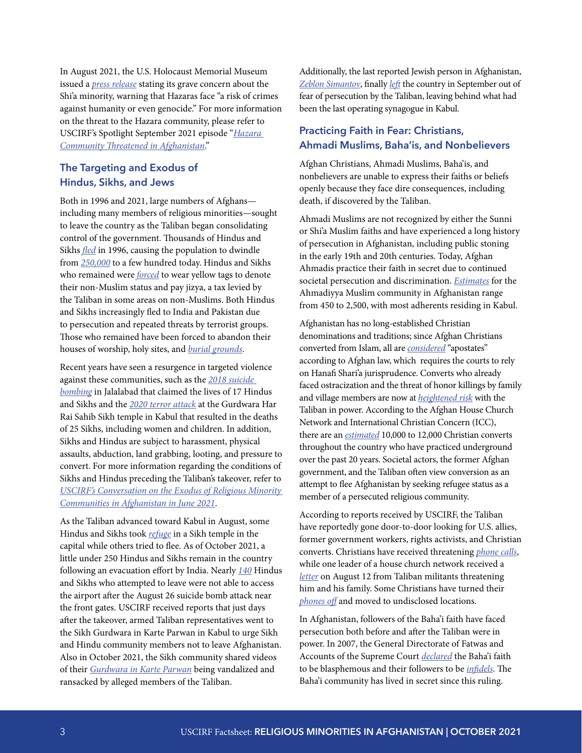In August 2021, the U.S. Holocaust Memorial Museum issued a *[press release](https://www.ushmm.org/information/press/press-releases/museum-statement-on-the-hazara)* stating its grave concern about the Shi'a minority, warning that Hazaras face "a risk of crimes against humanity or even genocide." For more information on the threat to the Hazara community, please refer to USCIRF's Spotlight September 2021 episode "*[Hazara](https://www.uscirf.gov/news-room/uscirf-spotlight/hazara-community-threatened-afghanistan)  [Community Threatened in Afghanistan](https://www.uscirf.gov/news-room/uscirf-spotlight/hazara-community-threatened-afghanistan)*."

## **The Targeting and Exodus of Hindus, Sikhs, and Jews**

Both in 1996 and 2021, large numbers of Afghans including many members of religious minorities—sought to leave the country as the Taliban began consolidating control of the government. Thousands of Hindus and Sikhs *[fled](https://www.dw.com/en/afghanistan-what-does-taliban-rule-mean-for-sikhs-and-hindus/a-59122249)* in 1996, causing the population to dwindle from *[250,000](https://apnews.com/article/afghanistan-discrimination-islamic-state-group-kabul-archive-b310aecece22454cc5918756e245810c)* to a few hundred today. Hindus and Sikhs who remained were *[forced](https://www.theguardian.com/world/2001/may/24/lukeharding)* to wear yellow tags to denote their non-Muslim status and pay jizya, a tax levied by the Taliban in some areas on non-Muslims. Both Hindus and Sikhs increasingly fled to India and Pakistan due to persecution and repeated threats by terrorist groups. Those who remained have been forced to abandon their houses of worship, holy sites, and *[burial grounds](https://da.azadiradio.com/a/31229923.html)*.

Recent years have seen a resurgence in targeted violence against these communities, such as the *[2018 suicide](https://www.bbc.com/news/world-asia-44677823)  [bombing](https://www.bbc.com/news/world-asia-44677823)* in Jalalabad that claimed the lives of 17 Hindus and Sikhs and the *[2020 terror attack](https://www.nytimes.com/2020/03/25/world/asia/afghanistan-sikh-kabul.html)* at the Gurdwara Har Rai Sahib Sikh temple in Kabul that resulted in the deaths of 25 Sikhs, including women and children. In addition, Sikhs and Hindus are subject to harassment, physical assaults, abduction, land grabbing, looting, and pressure to convert. For more information regarding the conditions of Sikhs and Hindus preceding the Taliban's takeover, refer to *[USCIRF's Conversation on the Exodus of Religious Minority](https://www.uscirf.gov/events/webinars/uscirf-conversation-exodus-religious-minority-communities-afghanistan)  [Communities in Afghanistan](https://www.uscirf.gov/events/webinars/uscirf-conversation-exodus-religious-minority-communities-afghanistan) in June 2021*.

As the Taliban advanced toward Kabul in August, some Hindus and Sikhs took *[refuge](https://www.dw.com/en/afghanistan-what-does-taliban-rule-mean-for-sikhs-and-hindus/a-59122249)* in a Sikh temple in the capital while others tried to flee. As of October 2021, a little under 250 Hindus and Sikhs remain in the country following an evacuation effort by India. Nearly *[140](https://www.dw.com/en/afghanistan-what-does-taliban-rule-mean-for-sikhs-and-hindus/a-59122249)* Hindus and Sikhs who attempted to leave were not able to access the airport after the August 26 suicide bomb attack near the front gates. USCIRF received reports that just days after the takeover, armed Taliban representatives went to the Sikh Gurdwara in Karte Parwan in Kabul to urge Sikh and Hindu community members not to leave Afghanistan. Also in October 2021, the Sikh community shared videos of their *[Gurdwara in Karte Parwan](https://gandhara.rferl.org/a/31496367.html)* being vandalized and ransacked by alleged members of the Taliban.

Additionally, the last reported Jewish person in Afghanistan, *[Zeblon Simantov](https://www.voanews.com/a/south-central-asia_afghanistans-last-jew-leaves-after-taliban-takeover/6219402.html)*, finally *[left](https://www.jta.org/2021/09/09/global/afghanistans-last-jew-has-left-the-country)* the country in September out of fear of persecution by the Taliban, leaving behind what had been the last operating synagogue in Kabul.

## **Practicing Faith in Fear: Christians, Ahmadi Muslims, Baha'is, and Nonbelievers**

Afghan Christians, Ahmadi Muslims, Baha'is, and nonbelievers are unable to express their faiths or beliefs openly because they face dire consequences, including death, if discovered by the Taliban.

Ahmadi Muslims are not recognized by either the Sunni or Shi'a Muslim faiths and have experienced a long history of persecution in Afghanistan, including public stoning in the early 19th and 20th centuries. Today, Afghan Ahmadis practice their faith in secret due to continued societal persecution and discrimination. *[Estimates](https://www.state.gov/reports/2020-report-on-international-religious-freedom/afghanistan/)* for the Ahmadiyya Muslim community in Afghanistan range from 450 to 2,500, with most adherents residing in Kabul.

Afghanistan has no long-established Christian denominations and traditions; since Afghan Christians converted from Islam, all are *[considered](https://www.realclearreligion.org/articles/2021/09/23/us_must_help_religious_minorities_fleeing_the_taliban_795677.html)* "apostates" according to Afghan law, which requires the courts to rely on Hanafi Shari'a jurisprudence. Converts who already faced ostracization and the threat of honor killings by family and village members are now at *[heightened risk](https://www.ucanews.com/news/dangers-multiply-for-afghan-christians-under-taliban-rule/94045)* with the Taliban in power. According to the Afghan House Church Network and International Christian Concern (ICC), there are an *[estimated](https://www.persecution.org/2021/09/29/new-senate-bill-addresses-afghanistan-crisis/)* 10,000 to 12,000 Christian converts throughout the country who have practiced underground over the past 20 years. Societal actors, the former Afghan government, and the Taliban often view conversion as an attempt to flee Afghanistan by seeking refugee status as a member of a persecuted religious community.

According to reports received by USCIRF, the Taliban have reportedly gone door-to-door looking for U.S. allies, former government workers, rights activists, and Christian converts. Christians have received threatening *[phone calls](https://www.catholicnewsagency.com/news/248726/terrified-christians-in-afghanistan-brace-for-attacks-we-are-coming-for-you)*, while one leader of a house church network received a *[letter](https://wng.org/articles/the-taliban-seizes-power-while-taking-names-1629135433)* on August 12 from Taliban militants threatening him and his family. Some Christians have turned their *[phones off](https://thehill.com/opinion/international/568992-afghanistans-christians-are-turning-off-phones-and-going-into-hiding)* and moved to undisclosed locations.

In Afghanistan, followers of the Baha'i faith have faced persecution both before and after the Taliban were in power. In 2007, the General Directorate of Fatwas and Accounts of the Supreme Court *[declared](https://berkleycenter.georgetown.edu/essays/national-laws-on-blasphemy-afghanistan)* the Baha'i faith to be blasphemous and their followers to be *[infidels](https://www.state.gov/reports/2020-report-on-international-religious-freedom/afghanistan/)*. The Baha'i community has lived in secret since this ruling.